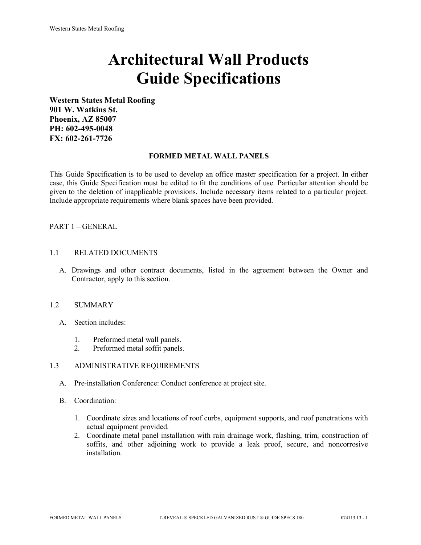# **Architectural Wall Products Guide Specifications**

**Western States Metal Roofing 901 W. Watkins St. Phoenix, AZ 85007 PH: 602-495-0048 FX: 602-261-7726**

## **FORMED METAL WALL PANELS**

This Guide Specification is to be used to develop an office master specification for a project. In either case, this Guide Specification must be edited to fit the conditions of use. Particular attention should be given to the deletion of inapplicable provisions. Include necessary items related to a particular project. Include appropriate requirements where blank spaces have been provided.

# PART 1 – GENERAL

## 1.1 RELATED DOCUMENTS

A. Drawings and other contract documents, listed in the agreement between the Owner and Contractor, apply to this section.

# 1.2 SUMMARY

- A. Section includes:
	- 1. Preformed metal wall panels.
	- 2. Preformed metal soffit panels.

## 1.3 ADMINISTRATIVE REQUIREMENTS

- A. Pre-installation Conference: Conduct conference at project site.
- B. Coordination:
	- 1. Coordinate sizes and locations of roof curbs, equipment supports, and roof penetrations with actual equipment provided.
	- 2. Coordinate metal panel installation with rain drainage work, flashing, trim, construction of soffits, and other adjoining work to provide a leak proof, secure, and noncorrosive installation.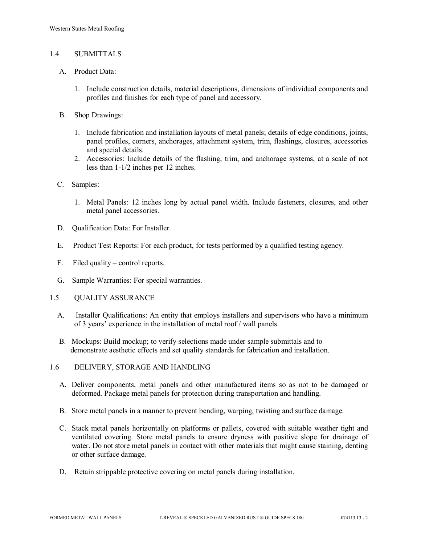## 1.4 SUBMITTALS

- A. Product Data:
	- 1. Include construction details, material descriptions, dimensions of individual components and profiles and finishes for each type of panel and accessory.
- B. Shop Drawings:
	- 1. Include fabrication and installation layouts of metal panels; details of edge conditions, joints, panel profiles, corners, anchorages, attachment system, trim, flashings, closures, accessories and special details.
	- 2. Accessories: Include details of the flashing, trim, and anchorage systems, at a scale of not less than 1-1/2 inches per 12 inches.
- C. Samples:
	- 1. Metal Panels: 12 inches long by actual panel width. Include fasteners, closures, and other metal panel accessories.
- D. Qualification Data: For Installer.
- E. Product Test Reports: For each product, for tests performed by a qualified testing agency.
- F. Filed quality control reports.
- G. Sample Warranties: For special warranties.
- 1.5 QUALITY ASSURANCE
	- A. Installer Qualifications: An entity that employs installers and supervisors who have a minimum of 3 years' experience in the installation of metal roof / wall panels.
	- B. Mockups: Build mockup; to verify selections made under sample submittals and to demonstrate aesthetic effects and set quality standards for fabrication and installation.
- 1.6 DELIVERY, STORAGE AND HANDLING
	- A. Deliver components, metal panels and other manufactured items so as not to be damaged or deformed. Package metal panels for protection during transportation and handling.
	- B. Store metal panels in a manner to prevent bending, warping, twisting and surface damage.
	- C. Stack metal panels horizontally on platforms or pallets, covered with suitable weather tight and ventilated covering. Store metal panels to ensure dryness with positive slope for drainage of water. Do not store metal panels in contact with other materials that might cause staining, denting or other surface damage.
	- D. Retain strippable protective covering on metal panels during installation.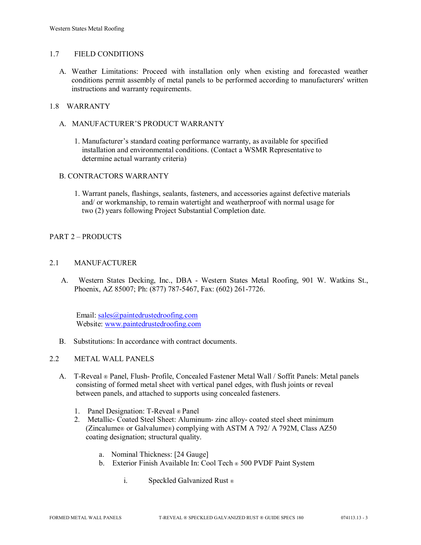## 1.7 FIELD CONDITIONS

A. Weather Limitations: Proceed with installation only when existing and forecasted weather conditions permit assembly of metal panels to be performed according to manufacturers' written instructions and warranty requirements.

# 1.8 WARRANTY

- A. MANUFACTURER'S PRODUCT WARRANTY
	- 1. Manufacturer's standard coating performance warranty, as available for specified installation and environmental conditions. (Contact a WSMR Representative to determine actual warranty criteria)

## B. CONTRACTORS WARRANTY

1. Warrant panels, flashings, sealants, fasteners, and accessories against defective materials and/ or workmanship, to remain watertight and weatherproof with normal usage for two (2) years following Project Substantial Completion date.

# PART 2 – PRODUCTS

## 2.1 MANUFACTURER

 A. Western States Decking, Inc., DBA - Western States Metal Roofing, 901 W. Watkins St., Phoenix, AZ 85007; Ph: (877) 787-5467, Fax: (602) 261-7726.

Email: [sales@paintedrustedroofing.com](mailto:sales@paintedrustedroofing.com) Website: [www.paintedrustedroofing.com](http://www.paintedrustedroofing.com/)

B. Substitutions: In accordance with contract documents.

## 2.2 METAL WALL PANELS

- A. T-Reveal ® Panel, Flush- Profile, Concealed Fastener Metal Wall / Soffit Panels: Metal panels consisting of formed metal sheet with vertical panel edges, with flush joints or reveal between panels, and attached to supports using concealed fasteners.
	- 1. Panel Designation: T-Reveal ® Panel
	- 2. Metallic- Coated Steel Sheet: Aluminum- zinc alloy- coated steel sheet minimum (Zincalume® or Galvalume®) complying with ASTM A 792/ A 792M, Class AZ50 coating designation; structural quality.
		- a. Nominal Thickness: [24 Gauge]
		- b. Exterior Finish Available In: Cool Tech ® 500 PVDF Paint System
			- i. Speckled Galvanized Rust ®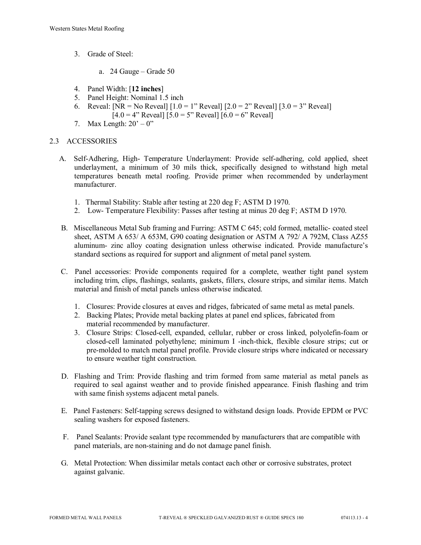- 3. Grade of Steel:
	- a. 24 Gauge Grade 50
- 4. Panel Width: [**12 inches**]
- 5. Panel Height: Nominal 1.5 inch
- 6. Reveal:  $[NR = No$  Reveal $] [1.0 = 1$ " Reveal $] [2.0 = 2$ " Reveal $] [3.0 = 3$ " Reveal $]$  $[4.0 = 4"$  Reveal]  $[5.0 = 5"$  Reveal]  $[6.0 = 6"$  Reveal]
- 7. Max Length:  $20^\circ 0$ "

# 2.3 ACCESSORIES

- A. Self-Adhering, High- Temperature Underlayment: Provide self-adhering, cold applied, sheet underlayment, a minimum of 30 mils thick, specifically designed to withstand high metal temperatures beneath metal roofing. Provide primer when recommended by underlayment manufacturer.
	- 1. Thermal Stability: Stable after testing at 220 deg F; ASTM D 1970.
	- 2. Low- Temperature Flexibility: Passes after testing at minus 20 deg F; ASTM D 1970.
- B. Miscellaneous Metal Sub framing and Furring: ASTM C 645; cold formed, metallic- coated steel sheet, ASTM A 653/ A 653M, G90 coating designation or ASTM A 792/ A 792M, Class AZ55 aluminum- zinc alloy coating designation unless otherwise indicated. Provide manufacture's standard sections as required for support and alignment of metal panel system.
- C. Panel accessories: Provide components required for a complete, weather tight panel system including trim, clips, flashings, sealants, gaskets, fillers, closure strips, and similar items. Match material and finish of metal panels unless otherwise indicated.
	- 1. Closures: Provide closures at eaves and ridges, fabricated of same metal as metal panels.
	- 2. Backing Plates; Provide metal backing plates at panel end splices, fabricated from material recommended by manufacturer.
	- 3. Closure Strips: Closed-cell, expanded, cellular, rubber or cross linked, polyolefin-foam or closed-cell laminated polyethylene; minimum I -inch-thick, flexible closure strips; cut or pre-molded to match metal panel profile. Provide closure strips where indicated or necessary to ensure weather tight construction.
- D. Flashing and Trim: Provide flashing and trim formed from same material as metal panels as required to seal against weather and to provide finished appearance. Finish flashing and trim with same finish systems adjacent metal panels.
- E. Panel Fasteners: Self-tapping screws designed to withstand design loads. Provide EPDM or PVC sealing washers for exposed fasteners.
- F. Panel Sealants: Provide sealant type recommended by manufacturers that are compatible with panel materials, are non-staining and do not damage panel finish.
- G. Metal Protection: When dissimilar metals contact each other or corrosive substrates, protect against galvanic.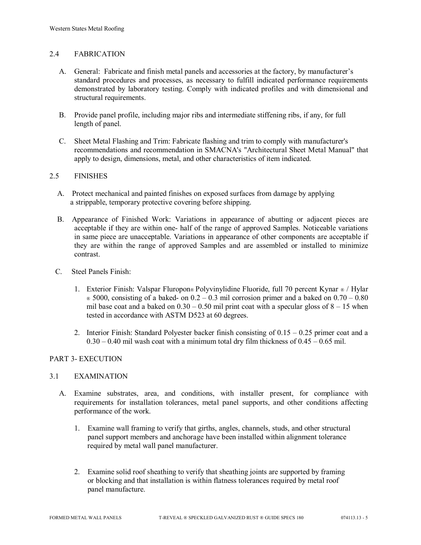# 2.4 FABRICATION

- A. General: Fabricate and finish metal panels and accessories at the factory, by manufacturer's standard procedures and processes, as necessary to fulfill indicated performance requirements demonstrated by laboratory testing. Comply with indicated profiles and with dimensional and structural requirements.
- B. Provide panel profile, including major ribs and intermediate stiffening ribs, if any, for full length of panel.
- C. Sheet Metal Flashing and Trim: Fabricate flashing and trim to comply with manufacturer's recommendations and recommendation in SMACNA's "Architectural Sheet Metal Manual" that apply to design, dimensions, metal, and other characteristics of item indicated.

## 2.5 FINISHES

- A. Protect mechanical and painted finishes on exposed surfaces from damage by applying a strippable, temporary protective covering before shipping.
- B. Appearance of Finished Work: Variations in appearance of abutting or adjacent pieces are acceptable if they are within one- half of the range of approved Samples. Noticeable variations in same piece are unacceptable. Variations in appearance of other components are acceptable if they are within the range of approved Samples and are assembled or installed to minimize contrast.
- C. Steel Panels Finish:
	- 1. Exterior Finish: Valspar Fluropon® Polyvinylidine Fluoride, full 70 percent Kynar ® / Hylar  $\in$  5000, consisting of a baked- on 0.2 – 0.3 mil corrosion primer and a baked on 0.70 – 0.80 mil base coat and a baked on  $0.30 - 0.50$  mil print coat with a specular gloss of  $8 - 15$  when tested in accordance with ASTM D523 at 60 degrees.
	- 2. Interior Finish: Standard Polyester backer finish consisting of  $0.15 0.25$  primer coat and a  $0.30 - 0.40$  mil wash coat with a minimum total dry film thickness of  $0.45 - 0.65$  mil.

## PART 3- EXECUTION

## 3.1 EXAMINATION

- A. Examine substrates, area, and conditions, with installer present, for compliance with requirements for installation tolerances, metal panel supports, and other conditions affecting performance of the work.
	- 1. Examine wall framing to verify that girths, angles, channels, studs, and other structural panel support members and anchorage have been installed within alignment tolerance required by metal wall panel manufacturer.
	- 2. Examine solid roof sheathing to verify that sheathing joints are supported by framing or blocking and that installation is within flatness tolerances required by metal roof panel manufacture.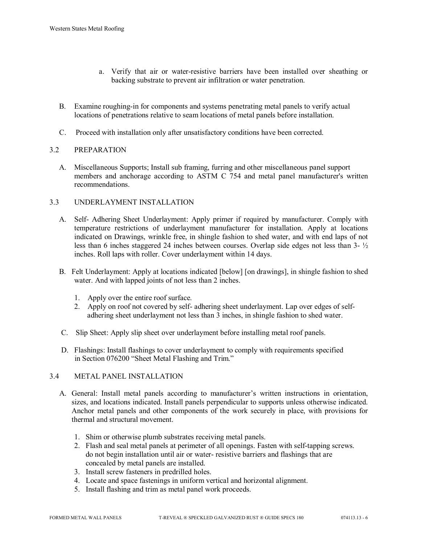- a. Verify that air or water-resistive barriers have been installed over sheathing or backing substrate to prevent air infiltration or water penetration.
- B. Examine roughing-in for components and systems penetrating metal panels to verify actual locations of penetrations relative to seam locations of metal panels before installation.
- C. Proceed with installation only after unsatisfactory conditions have been corrected.

# 3.2 PREPARATION

 A. Miscellaneous Supports; Install sub framing, furring and other miscellaneous panel support members and anchorage according to ASTM C 754 and metal panel manufacturer's written recommendations.

# 3.3 UNDERLAYMENT INSTALLATION

- A. Self- Adhering Sheet Underlayment: Apply primer if required by manufacturer. Comply with temperature restrictions of underlayment manufacturer for installation. Apply at locations indicated on Drawings, wrinkle free, in shingle fashion to shed water, and with end laps of not less than 6 inches staggered 24 inches between courses. Overlap side edges not less than 3- ½ inches. Roll laps with roller. Cover underlayment within 14 days.
- B. Felt Underlayment: Apply at locations indicated [below] [on drawings], in shingle fashion to shed water. And with lapped joints of not less than 2 inches.
	- 1. Apply over the entire roof surface.
	- 2. Apply on roof not covered by self- adhering sheet underlayment. Lap over edges of self adhering sheet underlayment not less than 3 inches, in shingle fashion to shed water.
- C. Slip Sheet: Apply slip sheet over underlayment before installing metal roof panels.
- D. Flashings: Install flashings to cover underlayment to comply with requirements specified in Section 076200 "Sheet Metal Flashing and Trim."

# 3.4 METAL PANEL INSTALLATION

- A. General: Install metal panels according to manufacturer's written instructions in orientation, sizes, and locations indicated. Install panels perpendicular to supports unless otherwise indicated. Anchor metal panels and other components of the work securely in place, with provisions for thermal and structural movement.
	- 1. Shim or otherwise plumb substrates receiving metal panels.
	- 2. Flash and seal metal panels at perimeter of all openings. Fasten with self-tapping screws. do not begin installation until air or water- resistive barriers and flashings that are concealed by metal panels are installed.
	- 3. Install screw fasteners in predrilled holes.
	- 4. Locate and space fastenings in uniform vertical and horizontal alignment.
	- 5. Install flashing and trim as metal panel work proceeds.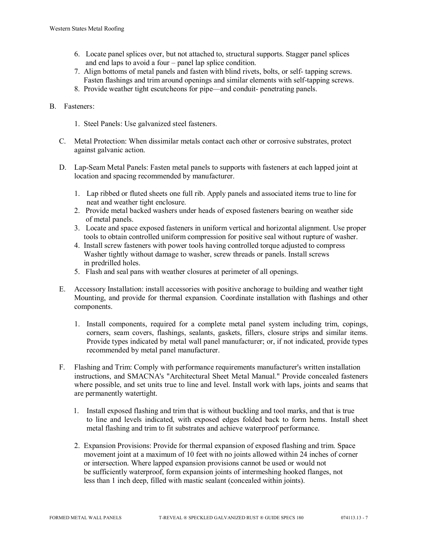- 6. Locate panel splices over, but not attached to, structural supports. Stagger panel splices and end laps to avoid a four – panel lap splice condition.
- 7. Align bottoms of metal panels and fasten with blind rivets, bolts, or self- tapping screws. Fasten flashings and trim around openings and similar elements with self-tapping screws.
- 8. Provide weather tight escutcheons for pipe—and conduit- penetrating panels.

# B. Fasteners:

- 1. Steel Panels: Use galvanized steel fasteners.
- C. Metal Protection: When dissimilar metals contact each other or corrosive substrates, protect against galvanic action.
- D. Lap-Seam Metal Panels: Fasten metal panels to supports with fasteners at each lapped joint at location and spacing recommended by manufacturer.
	- 1. Lap ribbed or fluted sheets one full rib. Apply panels and associated items true to line for neat and weather tight enclosure.
	- 2. Provide metal backed washers under heads of exposed fasteners bearing on weather side of metal panels.
	- 3. Locate and space exposed fasteners in uniform vertical and horizontal alignment. Use proper tools to obtain controlled uniform compression for positive seal without rupture of washer.
	- 4. Install screw fasteners with power tools having controlled torque adjusted to compress Washer tightly without damage to washer, screw threads or panels. Install screws in predrilled holes.
	- 5. Flash and seal pans with weather closures at perimeter of all openings.
- E. Accessory Installation: install accessories with positive anchorage to building and weather tight Mounting, and provide for thermal expansion. Coordinate installation with flashings and other components.
	- 1. Install components, required for a complete metal panel system including trim, copings, corners, seam covers, flashings, sealants, gaskets, fillers, closure strips and similar items. Provide types indicated by metal wall panel manufacturer; or, if not indicated, provide types recommended by metal panel manufacturer.
- F. Flashing and Trim: Comply with performance requirements manufacturer's written installation instructions, and SMACNA's "Architectural Sheet Metal Manual." Provide concealed fasteners where possible, and set units true to line and level. Install work with laps, joints and seams that are permanently watertight.
	- 1. Install exposed flashing and trim that is without buckling and tool marks, and that is true to line and levels indicated, with exposed edges folded back to form hems. Install sheet metal flashing and trim to fit substrates and achieve waterproof performance.
	- 2. Expansion Provisions: Provide for thermal expansion of exposed flashing and trim. Space movement joint at a maximum of 10 feet with no joints allowed within 24 inches of corner or intersection. Where lapped expansion provisions cannot be used or would not be sufficiently waterproof, form expansion joints of intermeshing hooked flanges, not less than 1 inch deep, filled with mastic sealant (concealed within joints).